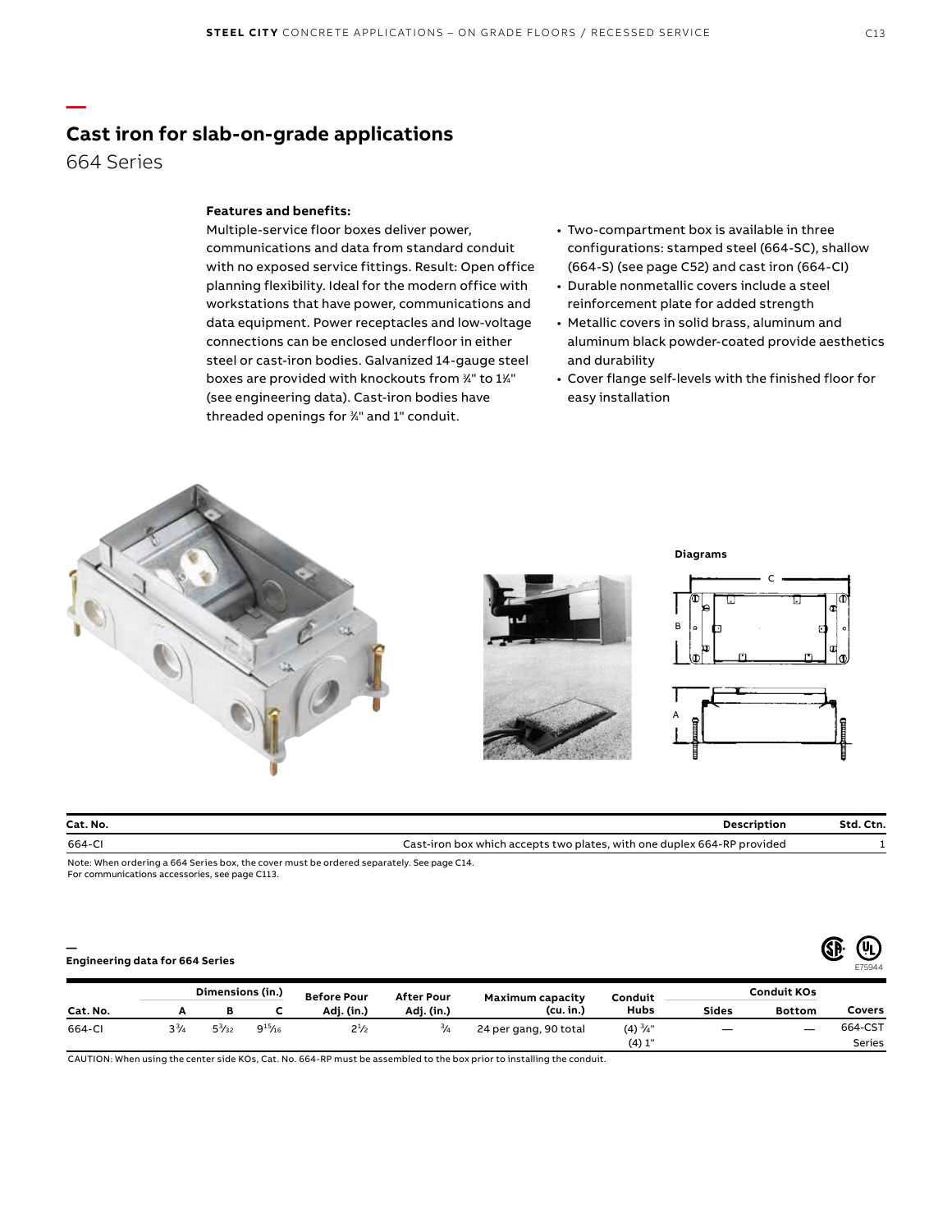### **Cast iron for slab-on-grade applications**

664 Series

**—**

#### **Features and benefits:**

Multiple-service floor boxes deliver power, communications and data from standard conduit with no exposed service fittings. Result: Open office planning flexibility. Ideal for the modern office with workstations that have power, communications and data equipment. Power receptacles and low-voltage connections can be enclosed underfloor in either steel or cast-iron bodies. Galvanized 14-gauge steel boxes are provided with knockouts from ¾" to 1¼" (see engineering data). Cast-iron bodies have threaded openings for 3 ⁄4" and 1" conduit.

- Two-compartment box is available in three configurations: stamped steel (664-SC), shallow (664-S) (see page C52) and cast iron (664-CI)
- Durable nonmetallic covers include a steel reinforcement plate for added strength
- Metallic covers in solid brass, aluminum and aluminum black powder-coated provide aesthetics and durability
- Cover flange self-levels with the finished floor for easy installation



| Cat. No.                                                                               | <b>Description</b>                                                      | Std. Ctn. |
|----------------------------------------------------------------------------------------|-------------------------------------------------------------------------|-----------|
| 664-CI                                                                                 | Cast-iron box which accepts two plates, with one duplex 664-RP provided |           |
| Note Whan ardering a 664 Series have the souer must be ardered separately See name C14 |                                                                         |           |

Note: When ordering a 664 Series box, the cover must be ordered separately. See page C14. For communications accessories, see page C113.

#### **Engineering data for 664 Series**

**—**

|          |           | Dimensions (in.) |             | <b>Before Pour</b> | <b>After Pour</b> | Maximum capacity      | Conduit               |      | Conduit KOs  |               |        |
|----------|-----------|------------------|-------------|--------------------|-------------------|-----------------------|-----------------------|------|--------------|---------------|--------|
| Cat. No. |           |                  |             | Adj. (in.)         |                   | Adj. (in.)            | (cu, in.)             | Hubs | <b>Sides</b> | <b>Bottom</b> | Covers |
| 664-CI   | $3^{3}/4$ | $5^3/32$         | $9^{15}/16$ | $2^{1/2}$          | $\frac{3}{4}$     | 24 per gang, 90 total | $(4)$ $\frac{3}{4}$ " |      |              | 664-CST       |        |
|          |           |                  |             |                    |                   |                       | (4) 1"                |      |              | <b>Series</b> |        |

CAUTION: When using the center side KOs, Cat. No. 664-RP must be assembled to the box prior to installing the conduit.

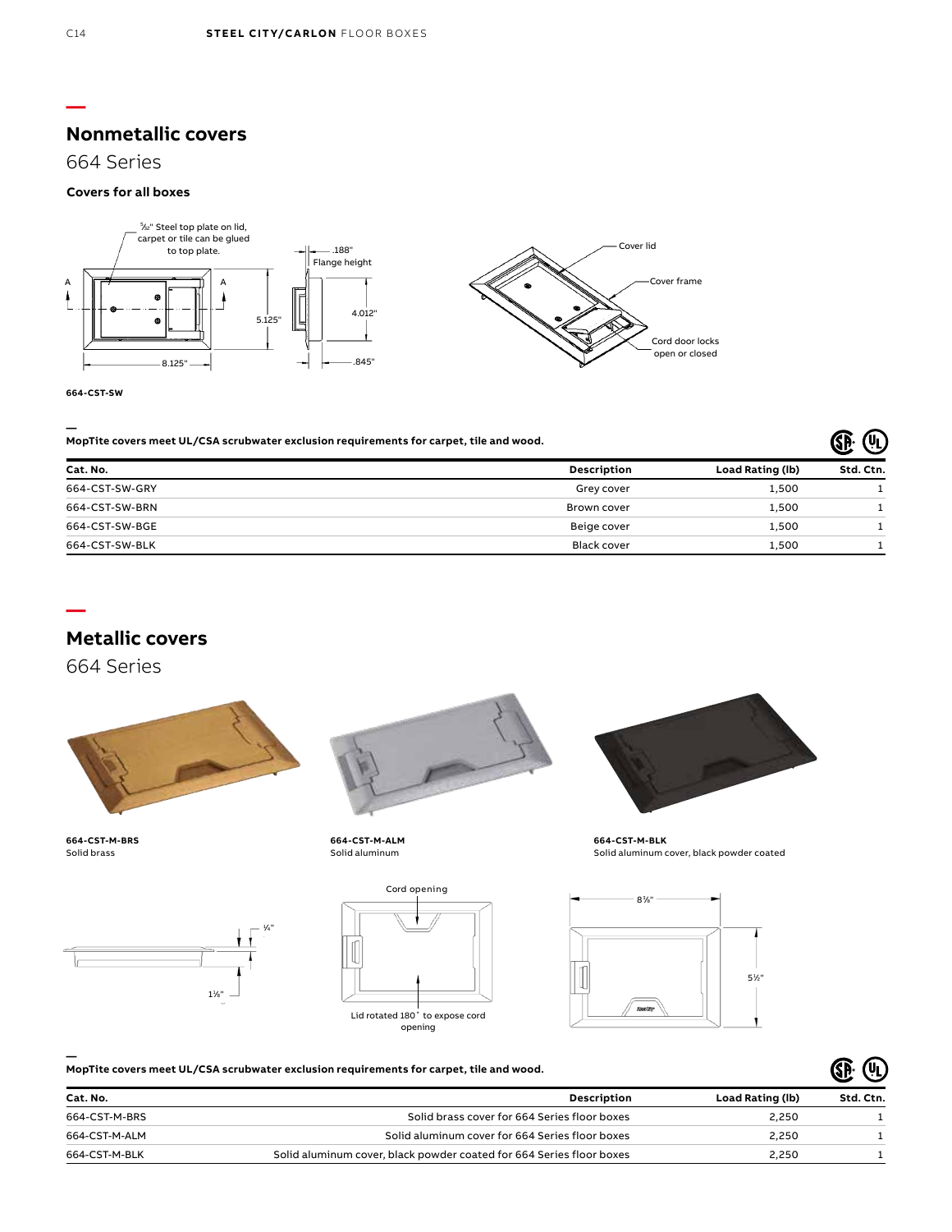**—**

### **Nonmetallic covers**

664 Series

### **Covers for all boxes**



**664-CST-SW**

**— MopTite covers meet UL/CSA scrubwater exclusion requirements for carpet, tile and wood.**



|                |                    |                  | -<br>--   |
|----------------|--------------------|------------------|-----------|
| Cat. No.       | <b>Description</b> | Load Rating (lb) | Std. Ctn. |
| 664-CST-SW-GRY | Grey cover         | 1,500            |           |
| 664-CST-SW-BRN | Brown cover        | 1,500            |           |
| 664-CST-SW-BGE | Beige cover        | 1,500            |           |
| 664-CST-SW-BLK | Black cover        | 1.500            |           |

# **Metallic covers**

664 Series

**—**



**664-CST-M-BRS** Solid brass

**—**





**664-CST-M-ALM** Solid aluminum



**664-CST-M-BLK** Solid aluminum cover, black powder coated



**MopTite covers meet UL/CSA scrubwater exclusion requirements for carpet, tile and wood.**



| Cat. No.      | <b>Description</b>                                                   | Load Rating (lb) | Std. Ctn. |
|---------------|----------------------------------------------------------------------|------------------|-----------|
| 664-CST-M-BRS | Solid brass cover for 664 Series floor boxes                         | 2.250            |           |
| 664-CST-M-ALM | Solid aluminum cover for 664 Series floor boxes                      | 2.250            |           |
| 664-CST-M-BLK | Solid aluminum cover, black powder coated for 664 Series floor boxes | 2.250            |           |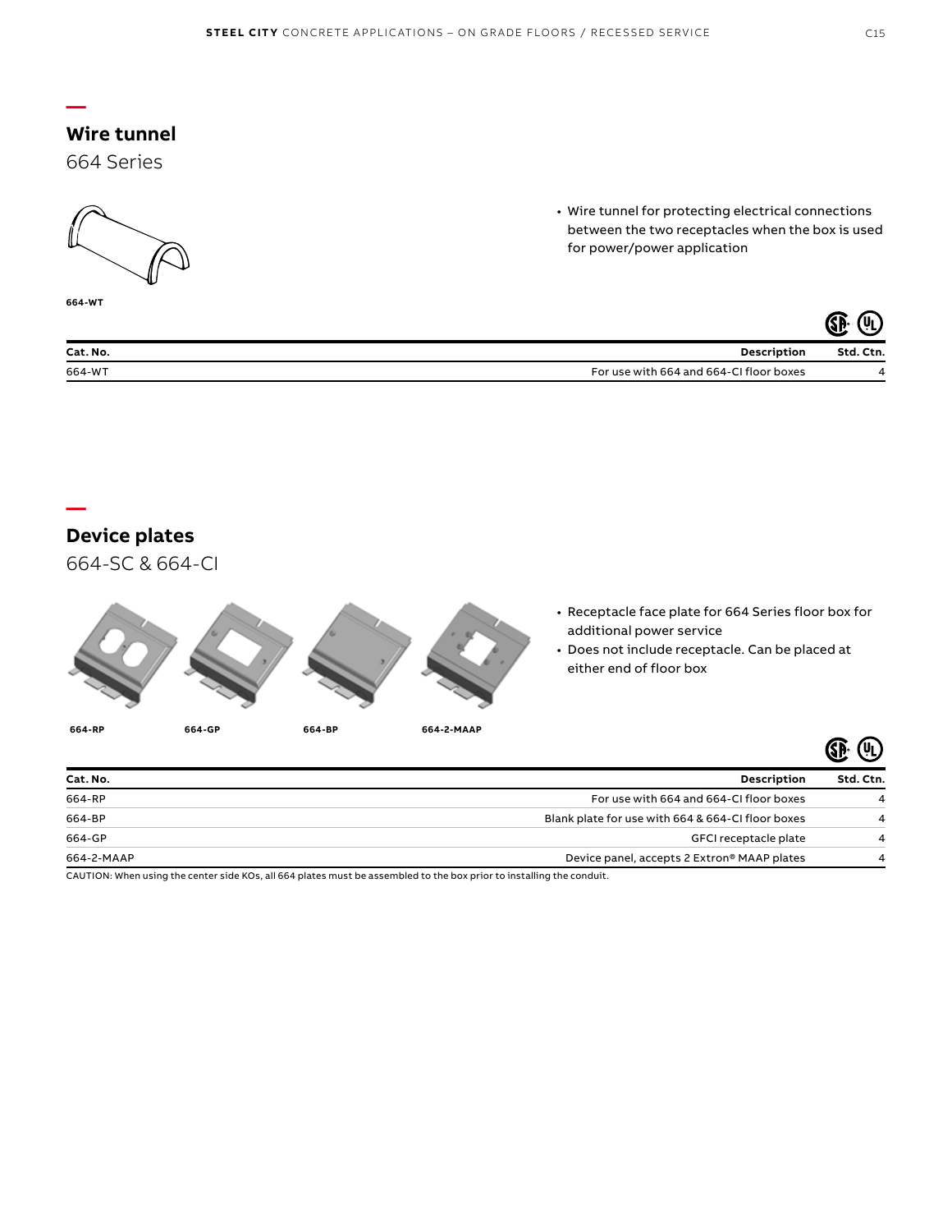# **— Wire tunnel**

664 Series



| Cat. No. | Description                             | Std. Ctn. |
|----------|-----------------------------------------|-----------|
| 664-WT   | For use with 664 and 664-CI floor boxes |           |
|          |                                         |           |

## **Device plates**

**—**

664-SC & 664-CI



- Receptacle face plate for 664 Series floor box for additional power service
- Does not include receptacle. Can be placed at either end of floor box

|            |                                                   | <b>GP</b><br>$(\Psi_L)$ |
|------------|---------------------------------------------------|-------------------------|
| Cat. No.   | <b>Description</b>                                | Std. Ctn.               |
| 664-RP     | For use with 664 and 664-CI floor boxes           |                         |
| 664-BP     | Blank plate for use with 664 & 664-CI floor boxes | Δ                       |
| 664-GP     | GFCI receptacle plate                             | Δ.                      |
| 664-2-MAAP | Device panel, accepts 2 Extron® MAAP plates       | Δ.                      |

CAUTION: When using the center side KOs, all 664 plates must be assembled to the box prior to installing the conduit.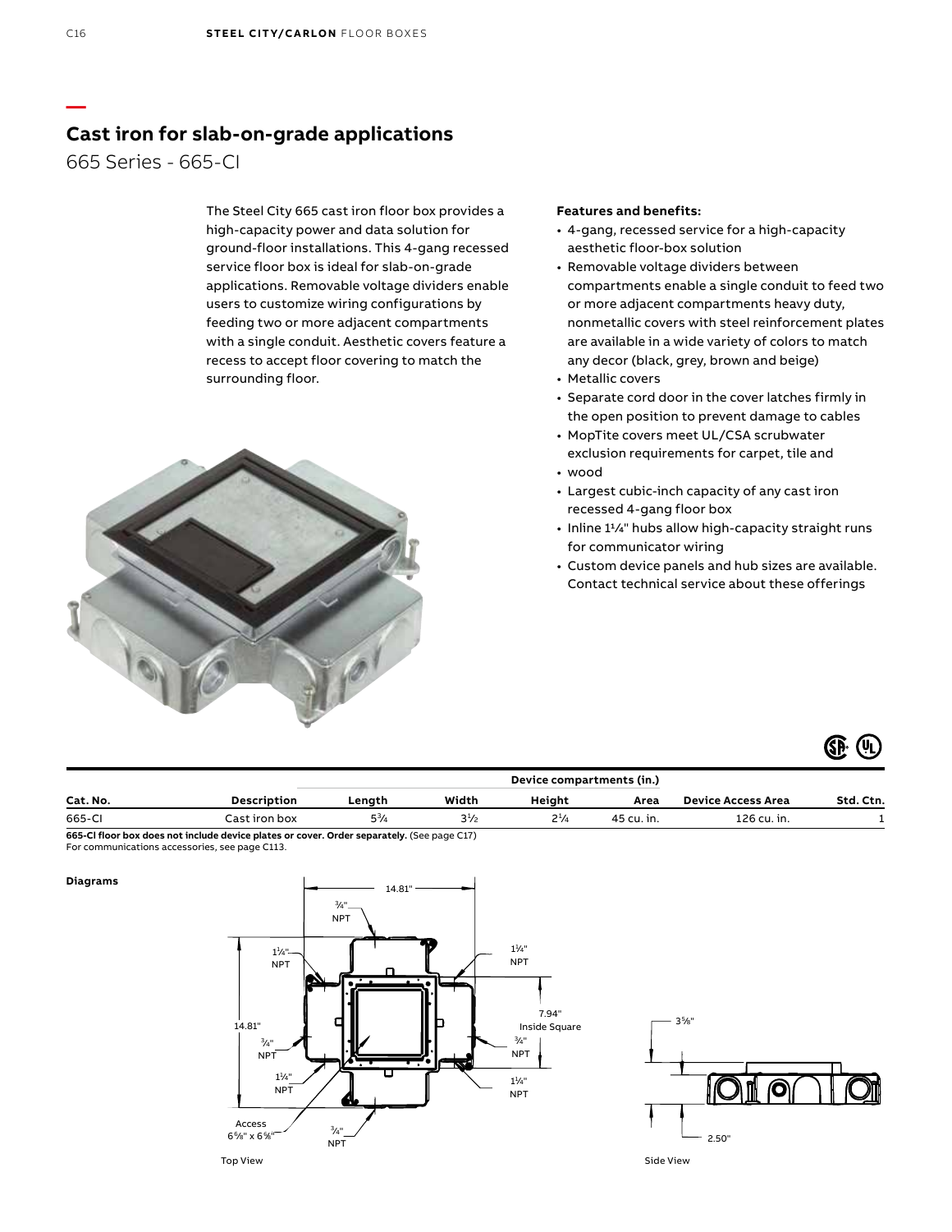### **Cast iron for slab-on-grade applications**

665 Series - 665-CI

The Steel City 665 cast iron floor box provides a high-capacity power and data solution for ground-floor installations. This 4-gang recessed service floor box is ideal for slab-on-grade applications. Removable voltage dividers enable users to customize wiring configurations by feeding two or more adjacent compartments with a single conduit. Aesthetic covers feature a recess to accept floor covering to match the surrounding floor.



#### **Features and benefits:**

- 4-gang, recessed service for a high-capacity aesthetic floor-box solution
- Removable voltage dividers between compartments enable a single conduit to feed two or more adjacent compartments heavy duty, nonmetallic covers with steel reinforcement plates are available in a wide variety of colors to match any decor (black, grey, brown and beige)
- Metallic covers
- Separate cord door in the cover latches firmly in the open position to prevent damage to cables
- MopTite covers meet UL/CSA scrubwater exclusion requirements for carpet, tile and
- wood
- Largest cubic-inch capacity of any cast iron recessed 4-gang floor box
- Inline 1<sup>1</sup>/4" hubs allow high-capacity straight runs for communicator wiring
- Custom device panels and hub sizes are available. Contact technical service about these offerings

| z<br>↖ | Uı |
|--------|----|
|--------|----|

|          |                    | Device compartments (in.) |           |           |            |                           |           |
|----------|--------------------|---------------------------|-----------|-----------|------------|---------------------------|-----------|
| Cat. No. | <b>Description</b> | Length                    | Width     | Heiaht    | Area       | <b>Device Access Area</b> | Std. Ctn. |
| 665-CI   | Cast iron box      | $5^{3}/4$                 | $3^{1/2}$ | $2^{1/4}$ | 45 cu. in. | 126 cu. in.               |           |

**665-Cl floor box does not include device plates or cover. Order separately.** (See page C17) For communications accessories, see page C113.

#### **Diagrams**





**—**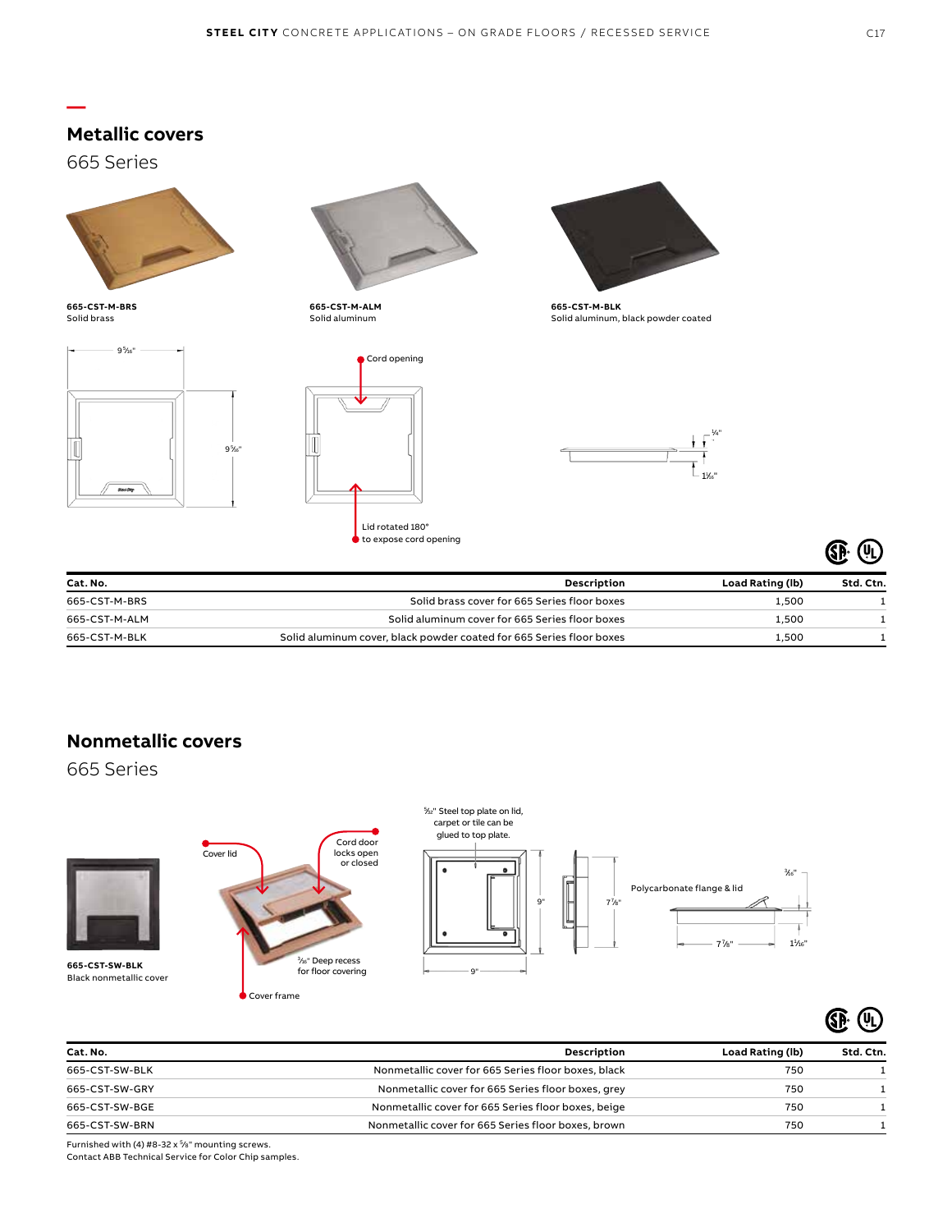

**Metallic covers**

**665-CST-M-BRS** Solid brass

**—**





**665-CST-M-ALM** Solid aluminum





**665-CST-M-BLK** Solid aluminum, black powder coated



**4 4** 

| Cat. No.      | Description                                                          | Load Rating (lb) | Std. Ctn. |
|---------------|----------------------------------------------------------------------|------------------|-----------|
| 665-CST-M-BRS | Solid brass cover for 665 Series floor boxes                         | 1.500            |           |
| 665-CST-M-ALM | Solid aluminum cover for 665 Series floor boxes                      | 1.500            |           |
| 665-CST-M-BLK | Solid aluminum cover, black powder coated for 665 Series floor boxes | 1.500            |           |

## **Nonmetallic covers**

665 Series



**665-CST-SW-BLK** Black nonmetallic cover







 $1\rlap{1}^1\!/\!16"$ 

3 ⁄16"

| Cat. No.       | Description                                         | Load Rating (lb) | Std. Ctn. |
|----------------|-----------------------------------------------------|------------------|-----------|
| 665-CST-SW-BLK | Nonmetallic cover for 665 Series floor boxes, black | 750              |           |
| 665-CST-SW-GRY | Nonmetallic cover for 665 Series floor boxes, grey  | 750              |           |
| 665-CST-SW-BGE | Nonmetallic cover for 665 Series floor boxes, beige | 750              |           |
| 665-CST-SW-BRN | Nonmetallic cover for 665 Series floor boxes, brown | 750              |           |

Furnished with (4)  $#8-32 \times 5\%$ " mounting screws. Contact ABB Technical Service for Color Chip samples.